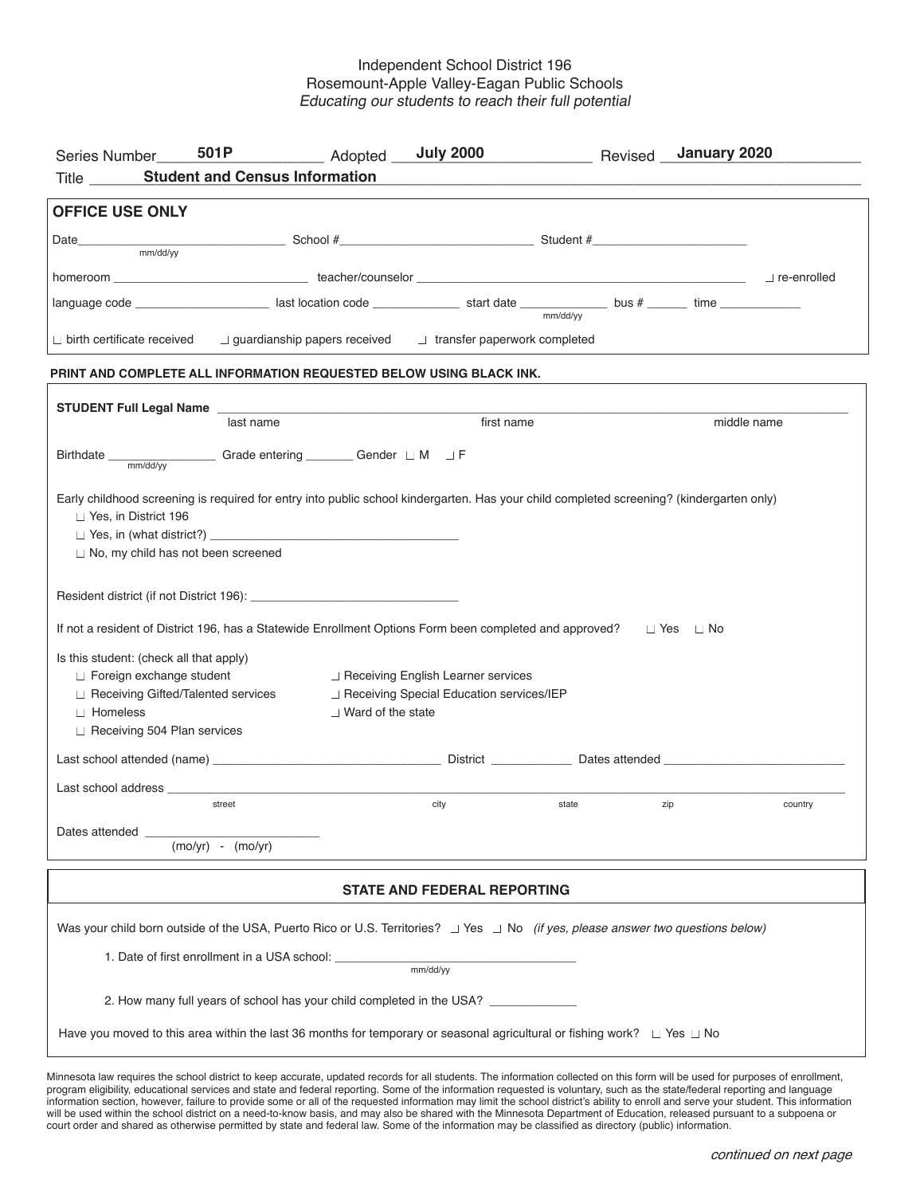## Independent School District 196 Rosemount-Apple Valley-Eagan Public Schools Educating our students to reach their full potential

| 501P<br>Series Number                                                                                                                                                                                                                                                                                                                                                            | Adopted __ <b>July 2000</b>                                                                                         |            |          | Revised January 2020 |  |  |  |  |
|----------------------------------------------------------------------------------------------------------------------------------------------------------------------------------------------------------------------------------------------------------------------------------------------------------------------------------------------------------------------------------|---------------------------------------------------------------------------------------------------------------------|------------|----------|----------------------|--|--|--|--|
| <b>Title</b>                                                                                                                                                                                                                                                                                                                                                                     | <b>Student and Census Information</b>                                                                               |            |          |                      |  |  |  |  |
| <b>OFFICE USE ONLY</b>                                                                                                                                                                                                                                                                                                                                                           |                                                                                                                     |            |          |                      |  |  |  |  |
| Date <b>Example 2018</b> School # School # Student # Student # Student # Student # Student # Student # Student # Student # Student # Student # Student # Student # Student # Student # Student # Student # Student # Student # Stud                                                                                                                                              |                                                                                                                     |            |          |                      |  |  |  |  |
| mm/dd/vv                                                                                                                                                                                                                                                                                                                                                                         |                                                                                                                     |            |          |                      |  |  |  |  |
| homeroom <u>Discoverence and the controlled</u> teacher/counselor <u>Discoverence and the controlled</u> Discovered and the controlled                                                                                                                                                                                                                                           |                                                                                                                     |            |          |                      |  |  |  |  |
| language code ___________________________last location code ___________________start date ___________________bus # ________time ______________________                                                                                                                                                                                                                           |                                                                                                                     |            | mm/dd/vv |                      |  |  |  |  |
| $\Box$ birth certificate received                                                                                                                                                                                                                                                                                                                                                | $\Box$ guardianship papers received $\Box$ transfer paperwork completed                                             |            |          |                      |  |  |  |  |
| PRINT AND COMPLETE ALL INFORMATION REQUESTED BELOW USING BLACK INK.                                                                                                                                                                                                                                                                                                              |                                                                                                                     |            |          |                      |  |  |  |  |
| STUDENT Full Legal Name                                                                                                                                                                                                                                                                                                                                                          |                                                                                                                     |            |          |                      |  |  |  |  |
|                                                                                                                                                                                                                                                                                                                                                                                  | last name                                                                                                           | first name |          | middle name          |  |  |  |  |
| Finan/dd/yy Grade entering _________ Gender □ M □ F<br>Birthdate __                                                                                                                                                                                                                                                                                                              |                                                                                                                     |            |          |                      |  |  |  |  |
| Early childhood screening is required for entry into public school kindergarten. Has your child completed screening? (kindergarten only)<br>□ Yes, in District 196<br>$\Box$ No, my child has not been screened<br>If not a resident of District 196, has a Statewide Enrollment Options Form been completed and approved? □ Yes □ No<br>Is this student: (check all that apply) |                                                                                                                     |            |          |                      |  |  |  |  |
| □ Foreign exchange student<br>□ Receiving English Learner services                                                                                                                                                                                                                                                                                                               |                                                                                                                     |            |          |                      |  |  |  |  |
| $\Box$ Homeless                                                                                                                                                                                                                                                                                                                                                                  | $\Box$ Receiving Gifted/Talented services<br>□ Receiving Special Education services/IEP<br>$\Box$ Ward of the state |            |          |                      |  |  |  |  |
| Receiving 504 Plan services                                                                                                                                                                                                                                                                                                                                                      |                                                                                                                     |            |          |                      |  |  |  |  |
|                                                                                                                                                                                                                                                                                                                                                                                  |                                                                                                                     |            |          |                      |  |  |  |  |
| Last school address ______                                                                                                                                                                                                                                                                                                                                                       |                                                                                                                     |            |          |                      |  |  |  |  |
| street                                                                                                                                                                                                                                                                                                                                                                           |                                                                                                                     | city       | state    | zip<br>country       |  |  |  |  |
| Dates attended<br>$(mo/yr) - (mo/yr)$                                                                                                                                                                                                                                                                                                                                            |                                                                                                                     |            |          |                      |  |  |  |  |
| <b>STATE AND FEDERAL REPORTING</b>                                                                                                                                                                                                                                                                                                                                               |                                                                                                                     |            |          |                      |  |  |  |  |
| Was your child born outside of the USA, Puerto Rico or U.S. Territories? $\Box$ Yes $\Box$ No (if yes, please answer two questions below)                                                                                                                                                                                                                                        |                                                                                                                     |            |          |                      |  |  |  |  |
| 1. Date of first enrollment in a USA school:<br>mm/dd/yy                                                                                                                                                                                                                                                                                                                         |                                                                                                                     |            |          |                      |  |  |  |  |
| 2. How many full years of school has your child completed in the USA?                                                                                                                                                                                                                                                                                                            |                                                                                                                     |            |          |                      |  |  |  |  |
| Have you moved to this area within the last 36 months for temporary or seasonal agricultural or fishing work? $\Box$ Yes $\Box$ No                                                                                                                                                                                                                                               |                                                                                                                     |            |          |                      |  |  |  |  |

Minnesota law requires the school district to keep accurate, updated records for all students. The information collected on this form will be used for purposes of enrollment, program eligibility, educational services and state and federal reporting. Some of the information requested is voluntary, such as the state/federal reporting and language information section, however, failure to provide some or all of the requested information may limit the school district's ability to enroll and serve your student. This information will be used within the school district on a need-to-know basis, and may also be shared with the Minnesota Department of Education, released pursuant to a subpoena or court order and shared as otherwise permitted by state and federal law. Some of the information may be classified as directory (public) information.